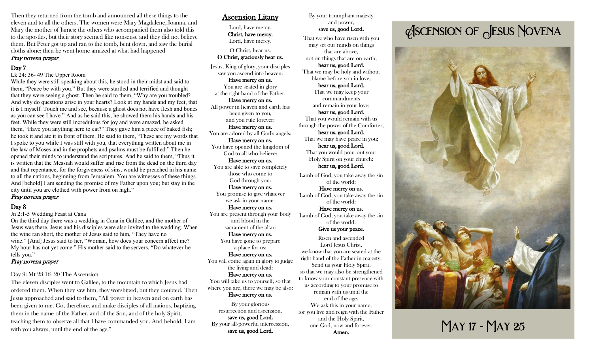Then they returned from the tomb and announced all these things to the eleven and to all the others. The women were Mary Magdalene, Joanna, and Mary the mother of James; the others who accompanied them also told this to the apostles, but their story seemed like nonsense and they did not believe them. But Peter got up and ran to the tomb, bent down, and saw the burial cloths alone; then he went home amazed at what had happened

#### Pray novena prayer

#### Day 7

#### Lk 24: 36- 49 The Upper Room

While they were still speaking about this, he stood in their midst and said to them, "Peace be with you." But they were startled and terrified and thought that they were seeing a ghost. Then he said to them, "Why are you troubled? And why do questions arise in your hearts? Look at my hands and my feet, that it is I myself. Touch me and see, because a ghost does not have flesh and bones as you can see I have." And as he said this, he showed them his hands and his feet. While they were still incredulous for joy and were amazed, he asked them, "Have you anything here to eat?" They gave him a piece of baked fish; he took it and ate it in front of them. He said to them, "These are my words that I spoke to you while I was still with you, that everything written about me in the law of Moses and in the prophets and psalms must be fulfilled." Then he opened their minds to understand the scriptures. And he said to them, "Thus it is written that the Messiah would suffer and rise from the dead on the third day and that repentance, for the forgiveness of sins, would be preached in his name to all the nations, beginning from Jerusalem. You are witnesses of these things. And [behold] I am sending the promise of my Father upon you; but stay in the city until you are clothed with power from on high."

#### Pray novena prayer

#### Day 8

Jn 2:1-5 Wedding Feast at Cana

On the third day there was a wedding in Cana in Galilee, and the mother of Jesus was there. Jesus and his disciples were also invited to the wedding. When the wine ran short, the mother of Jesus said to him, "They have no wine." [And] Jesus said to her, "Woman, how does your concern affect me? My hour has not yet come." His mother said to the servers, "Do whatever he tells you."

## Pray novena prayer

## Day 9: Mt 28:16- 20 The Ascension

The eleven disciples went to Galilee, to the mountain to which Jesus had ordered them. When they saw him, they worshiped, but they doubted. Then Jesus approached and said to them, "All power in heaven and on earth has been given to me. Go, therefore, and make disciples of all nations, baptizing them in the name of the Father, and of the Son, and of the holy Spirit, teaching them to observe all that I have commanded you. And behold, I am with you always, until the end of the age."

## Ascension Litany

Lord, have mercy. Christ, have mercy. Lord, have mercy.

O Christ, hear us. O Christ, graciously hear us.

Jesus, King of glory, your disciples saw you ascend into heaven:

Have mercy on us. You are seated in glory at the right hand of the Father:

Have mercy on us. All power in heaven and earth has been given to you,

and you rule forever: Have mercy on us.

You are adored by all God's angels: Have mercy on us. You have opened the kingdom of

God to all who believe: Have mercy on us. You are able to save completely those who come to God through you:

Have mercy on us. You promise to give whatever

we ask in your name: Have mercy on us.

You are present through your body and blood in the sacrament of the altar:

Have mercy on us. You have gone to prepare a place for us:

Have mercy on us. You will come again in glory to judge the living and dead:

Have mercy on us. You will take us to yourself, so that where you are, there we may be also:

#### Have mercy on us.

By your glorious resurrection and ascension, save us, good Lord. By your all-powerful intercession, save us, good Lord.

and power, save us, good Lord. That we who have risen with you may set our minds on things that are above, not on things that are on earth; hear us, good Lord. That we may be holy and without blame before you in love; hear us, good Lord. That we may keep your commandments and remain in your love; hear us, good Lord. That you would remain with us through the power of the Comforter; hear us, good Lord. That we may have peace in you; hear us, good Lord. That you would pour out your Holy Spirit on your church: hear us, good Lord. Lamb of God, you take away the sin

By your triumphant majesty

of the world: Have mercy on us.

Lamb of God, you take away the sin of the world:

Have mercy on us. Lamb of God, you take away the sin of the world:

Give us your peace.

Risen and ascended Lord Jesus Christ, we know that you are seated at the right hand of the Father in majesty. Send us your Holy Spirit, so that we may also be strengthened to know your constant presence with us according to your promise to remain with us until the end of the age. We ask this in your name, for you live and reign with the Father and the Holy Spirit, one God, now and forever. Amen.

# $\phi$ SCENSION OF  $\phi$ JESUS NOVENA



May 17 - May 25